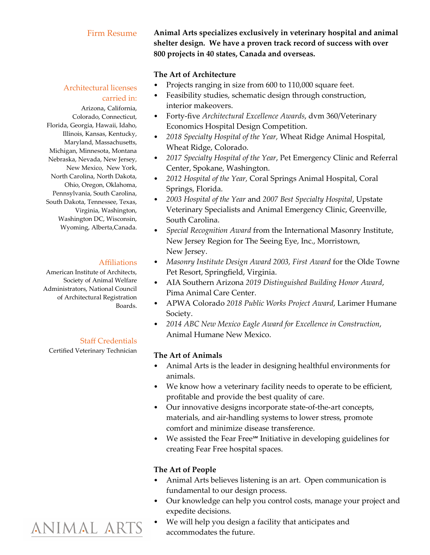## Firm Resume

# Architectural licenses carried in:

Arizona, California, Colorado, Connecticut, Florida, Georgia, Hawaii, Idaho, Illinois, Kansas, Kentucky, Maryland, Massachusetts, Michigan, Minnesota, Montana Nebraska, Nevada, New Jersey, New Mexico, New York, North Carolina, North Dakota, Ohio, Oregon, Oklahoma, Pennsylvania, South Carolina, South Dakota, Tennessee, Texas, Virginia, Washington, Washington DC, Wisconsin, Wyoming, Alberta,Canada.

### Affiliations

American Institute of Architects, Society of Animal Welfare Administrators, National Council of Architectural Registration Boards.

## Staff Credentials

Certified Veterinary Technician

**Animal Arts specializes exclusively in veterinary hospital and animal shelter design. We have a proven track record of success with over 800 projects in 40 states, Canada and overseas.**

# **The Art of Architecture**

- Projects ranging in size from 600 to 110,000 square feet.
- Feasibility studies, schematic design through construction, interior makeovers.
- Forty-five *Architectural Excellence Awards*, dvm 360/Veterinary Economics Hospital Design Competition.
- *2018 Specialty Hospital of the Year,* Wheat Ridge Animal Hospital, Wheat Ridge, Colorado.
- *2017 Specialty Hospital of the Year*, Pet Emergency Clinic and Referral Center, Spokane, Washington.
- *2012 Hospital of the Year,* Coral Springs Animal Hospital, Coral Springs, Florida.
- *2003 Hospital of the Year* and *2007 Best Specialty Hospital*, Upstate Veterinary Specialists and Animal Emergency Clinic, Greenville, South Carolina.
- *Special Recognition Award* from the International Masonry Institute, New Jersey Region for The Seeing Eye, Inc., Morristown, New Jersey.
- *Masonry Institute Design Award 2003, First Award* for the Olde Towne Pet Resort, Springfield, Virginia.
- AIA Southern Arizona *2019 Distinguished Building Honor Award*, Pima Animal Care Center.
- APWA Colorado *2018 Public Works Project Award*, Larimer Humane Society.
- *2014 ABC New Mexico Eagle Award for Excellence in Construction*, Animal Humane New Mexico.

# **The Art of Animals**

- Animal Arts is the leader in designing healthful environments for animals.
- We know how a veterinary facility needs to operate to be efficient, profitable and provide the best quality of care.
- Our innovative designs incorporate state-of-the-art concepts, materials, and air-handling systems to lower stress, promote comfort and minimize disease transference.
- We assisted the Fear Free℠ Initiative in developing guidelines for creating Fear Free hospital spaces.

# **The Art of People**

- Animal Arts believes listening is an art. Open communication is fundamental to our design process.
- Our knowledge can help you control costs, manage your project and expedite decisions.
- We will help you design a facility that anticipates and accommodates the future.

# ANIMAL ARTS